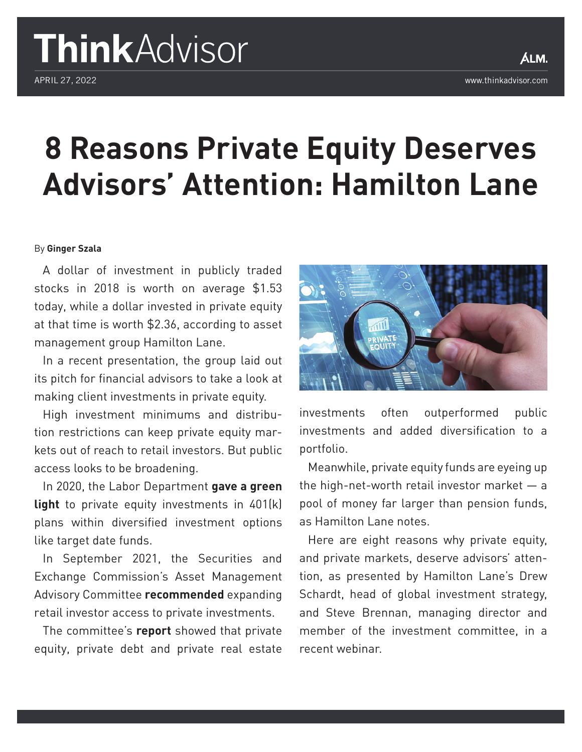# ThinkAdvisor

## **8 Reasons Private Equity Deserves Advisors' Attention: Hamilton Lane**

#### By **Ginger Szala**

A dollar of investment in publicly traded stocks in 2018 is worth on average \$1.53 today, while a dollar invested in private equity at that time is worth \$2.36, according to asset management group Hamilton Lane.

In a recent presentation, the group laid out its pitch for financial advisors to take a look at making client investments in private equity.

High investment minimums and distribution restrictions can keep private equity markets out of reach to retail investors. But public access looks to be broadening.

In 2020, the Labor Department **[gave a green](https://www.thinkadvisor.com/2020/06/04/dol-gives-green-light-for-private-equity-in-401ks/) [light](https://www.thinkadvisor.com/2020/06/04/dol-gives-green-light-for-private-equity-in-401ks/)** to private equity investments in 401(k) plans within diversified investment options like target date funds.

In September 2021, the Securities and Exchange Commission's Asset Management Advisory Committee **[recommended](https://www.thinkadvisor.com/2021/09/28/sec-committee-recommends-expanded-access-to-private-investments/)** expanding retail investor access to private investments.

The committee's **[report](https://www.sec.gov/files/final-recommendations-and-report-private-investments-subcommittee-092721.pdf)** showed that private equity, private debt and private real estate



investments often outperformed public investments and added diversification to a portfolio.

Meanwhile, private equity funds are eyeing up the high-net-worth retail investor market  $-$  a pool of money far larger than pension funds, as Hamilton Lane notes.

Here are eight reasons why private equity, and private markets, deserve advisors' attention, as presented by Hamilton Lane's Drew Schardt, head of global investment strategy, and Steve Brennan, managing director and member of the investment committee, in a recent webinar.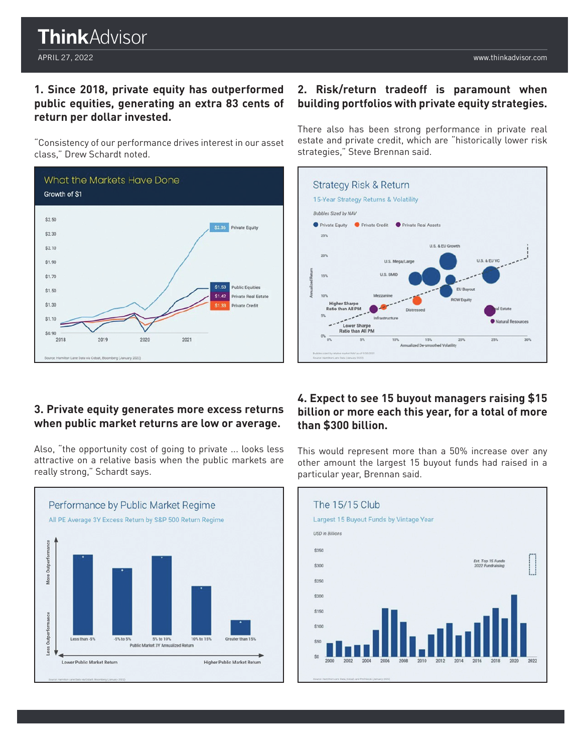### **ThinkAdvisor**

#### **1. Since 2018, private equity has outperformed public equities, generating an extra 83 cents of return per dollar invested.**

"Consistency of our performance drives interest in our asset class," Drew Schardt noted.



#### **3. Private equity generates more excess returns when public market returns are low or average.**

Also, "the opportunity cost of going to private ... looks less attractive on a relative basis when the public markets are really strong," Schardt says.



#### **2. Risk/return tradeoff is paramount when building portfolios with private equity strategies.**

There also has been strong performance in private real estate and private credit, which are "historically lower risk strategies," Steve Brennan said.



#### **4. Expect to see 15 buyout managers raising \$15 billion or more each this year, for a total of more than \$300 billion.**

This would represent more than a 50% increase over any other amount the largest 15 buyout funds had raised in a particular year, Brennan said.